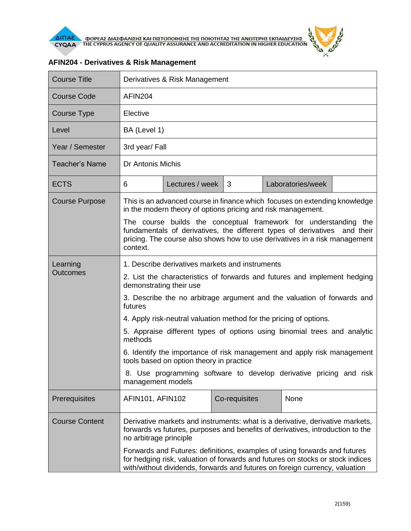

| <b>Course Title</b>   | Derivatives & Risk Management                                                                                                                                                                                                                                                                                                                                                                                                                                                  |                 |               |  |                   |  |
|-----------------------|--------------------------------------------------------------------------------------------------------------------------------------------------------------------------------------------------------------------------------------------------------------------------------------------------------------------------------------------------------------------------------------------------------------------------------------------------------------------------------|-----------------|---------------|--|-------------------|--|
| <b>Course Code</b>    | AFIN <sub>204</sub>                                                                                                                                                                                                                                                                                                                                                                                                                                                            |                 |               |  |                   |  |
| Course Type           | Elective                                                                                                                                                                                                                                                                                                                                                                                                                                                                       |                 |               |  |                   |  |
| Level                 | BA (Level 1)                                                                                                                                                                                                                                                                                                                                                                                                                                                                   |                 |               |  |                   |  |
| Year / Semester       | 3rd year/ Fall                                                                                                                                                                                                                                                                                                                                                                                                                                                                 |                 |               |  |                   |  |
| <b>Teacher's Name</b> | Dr Antonis Michis                                                                                                                                                                                                                                                                                                                                                                                                                                                              |                 |               |  |                   |  |
| <b>ECTS</b>           | 6                                                                                                                                                                                                                                                                                                                                                                                                                                                                              | Lectures / week | 3             |  | Laboratories/week |  |
| <b>Course Purpose</b> | This is an advanced course in finance which focuses on extending knowledge<br>in the modern theory of options pricing and risk management.                                                                                                                                                                                                                                                                                                                                     |                 |               |  |                   |  |
|                       | The course builds the conceptual framework for understanding the<br>fundamentals of derivatives, the different types of derivatives and their<br>pricing. The course also shows how to use derivatives in a risk management<br>context.                                                                                                                                                                                                                                        |                 |               |  |                   |  |
| Learning              | 1. Describe derivatives markets and instruments                                                                                                                                                                                                                                                                                                                                                                                                                                |                 |               |  |                   |  |
| <b>Outcomes</b>       | 2. List the characteristics of forwards and futures and implement hedging<br>demonstrating their use<br>3. Describe the no arbitrage argument and the valuation of forwards and<br>futures<br>4. Apply risk-neutral valuation method for the pricing of options.<br>5. Appraise different types of options using binomial trees and analytic<br>methods<br>6. Identify the importance of risk management and apply risk management<br>tools based on option theory in practice |                 |               |  |                   |  |
|                       |                                                                                                                                                                                                                                                                                                                                                                                                                                                                                |                 |               |  |                   |  |
|                       |                                                                                                                                                                                                                                                                                                                                                                                                                                                                                |                 |               |  |                   |  |
|                       |                                                                                                                                                                                                                                                                                                                                                                                                                                                                                |                 |               |  |                   |  |
|                       |                                                                                                                                                                                                                                                                                                                                                                                                                                                                                |                 |               |  |                   |  |
|                       | 8. Use programming software to develop derivative pricing and risk<br>management models                                                                                                                                                                                                                                                                                                                                                                                        |                 |               |  |                   |  |
| Prerequisites         | AFIN101, AFIN102                                                                                                                                                                                                                                                                                                                                                                                                                                                               |                 | Co-requisites |  | None              |  |
| <b>Course Content</b> | Derivative markets and instruments: what is a derivative, derivative markets,<br>forwards vs futures, purposes and benefits of derivatives, introduction to the<br>no arbitrage principle<br>Forwards and Futures: definitions, examples of using forwards and futures<br>for hedging risk, valuation of forwards and futures on stocks or stock indices<br>with/without dividends, forwards and futures on foreign currency, valuation                                        |                 |               |  |                   |  |
|                       |                                                                                                                                                                                                                                                                                                                                                                                                                                                                                |                 |               |  |                   |  |

## **AFIN204 - Derivatives & Risk Management**

 $\theta$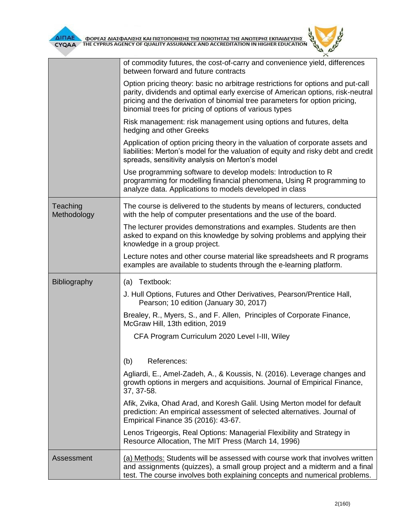

|                         | of commodity futures, the cost-of-carry and convenience yield, differences<br>between forward and future contracts                                                                                                                                                                                        |  |  |  |  |
|-------------------------|-----------------------------------------------------------------------------------------------------------------------------------------------------------------------------------------------------------------------------------------------------------------------------------------------------------|--|--|--|--|
|                         | Option pricing theory: basic no arbitrage restrictions for options and put-call<br>parity, dividends and optimal early exercise of American options, risk-neutral<br>pricing and the derivation of binomial tree parameters for option pricing,<br>binomial trees for pricing of options of various types |  |  |  |  |
|                         | Risk management: risk management using options and futures, delta<br>hedging and other Greeks                                                                                                                                                                                                             |  |  |  |  |
|                         | Application of option pricing theory in the valuation of corporate assets and<br>liabilities: Merton's model for the valuation of equity and risky debt and credit<br>spreads, sensitivity analysis on Merton's model                                                                                     |  |  |  |  |
|                         | Use programming software to develop models: Introduction to R<br>programming for modelling financial phenomena, Using R programming to<br>analyze data. Applications to models developed in class                                                                                                         |  |  |  |  |
| Teaching<br>Methodology | The course is delivered to the students by means of lecturers, conducted<br>with the help of computer presentations and the use of the board.                                                                                                                                                             |  |  |  |  |
|                         | The lecturer provides demonstrations and examples. Students are then<br>asked to expand on this knowledge by solving problems and applying their<br>knowledge in a group project.                                                                                                                         |  |  |  |  |
|                         | Lecture notes and other course material like spreadsheets and R programs<br>examples are available to students through the e-learning platform.                                                                                                                                                           |  |  |  |  |
| <b>Bibliography</b>     | (a) Textbook:                                                                                                                                                                                                                                                                                             |  |  |  |  |
|                         | J. Hull Options, Futures and Other Derivatives, Pearson/Prentice Hall,<br>Pearson; 10 edition (January 30, 2017)                                                                                                                                                                                          |  |  |  |  |
|                         | Brealey, R., Myers, S., and F. Allen, Principles of Corporate Finance,<br>McGraw Hill, 13th edition, 2019                                                                                                                                                                                                 |  |  |  |  |
|                         | CFA Program Curriculum 2020 Level I-III, Wiley                                                                                                                                                                                                                                                            |  |  |  |  |
|                         | (b)<br>References:                                                                                                                                                                                                                                                                                        |  |  |  |  |
|                         | Agliardi, E., Amel-Zadeh, A., & Koussis, N. (2016). Leverage changes and<br>growth options in mergers and acquisitions. Journal of Empirical Finance,<br>37, 37-58.                                                                                                                                       |  |  |  |  |
|                         | Afik, Zvika, Ohad Arad, and Koresh Galil. Using Merton model for default<br>prediction: An empirical assessment of selected alternatives. Journal of<br>Empirical Finance 35 (2016): 43-67.                                                                                                               |  |  |  |  |
|                         | Lenos Trigeorgis, Real Options: Managerial Flexibility and Strategy in<br>Resource Allocation, The MIT Press (March 14, 1996)                                                                                                                                                                             |  |  |  |  |
| Assessment              | (a) Methods: Students will be assessed with course work that involves written<br>and assignments (quizzes), a small group project and a midterm and a final<br>test. The course involves both explaining concepts and numerical problems.                                                                 |  |  |  |  |

 $\tilde{r}$